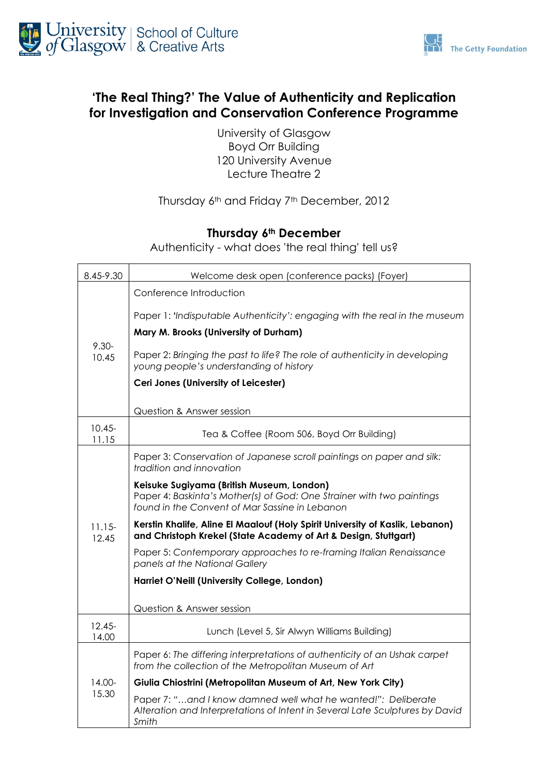



## **'The Real Thing?' The Value of Authenticity and Replication for Investigation and Conservation Conference Programme**

University of Glasgow Boyd Orr Building 120 University Avenue Lecture Theatre 2

#### Thursday 6<sup>th</sup> and Friday 7<sup>th</sup> December, 2012

### **Thursday 6th December**

Authenticity - what does 'the real thing' tell us?

| 8.45-9.30          | Welcome desk open (conference packs) (Foyer)                                                                                                                         |  |
|--------------------|----------------------------------------------------------------------------------------------------------------------------------------------------------------------|--|
| $9.30 -$<br>10.45  | Conference Introduction                                                                                                                                              |  |
|                    | Paper 1: 'Indisputable Authenticity': engaging with the real in the museum                                                                                           |  |
|                    | Mary M. Brooks (University of Durham)                                                                                                                                |  |
|                    | Paper 2: Bringing the past to life? The role of authenticity in developing<br>young people's understanding of history                                                |  |
|                    | Ceri Jones (University of Leicester)                                                                                                                                 |  |
|                    | Question & Answer session                                                                                                                                            |  |
| $10.45 -$<br>11.15 | Tea & Coffee (Room 506, Boyd Orr Building)                                                                                                                           |  |
| $11.15-$<br>12.45  | Paper 3: Conservation of Japanese scroll paintings on paper and silk:<br>tradition and innovation                                                                    |  |
|                    | Keisuke Sugiyama (British Museum, London)<br>Paper 4: Baskinta's Mother(s) of God: One Strainer with two paintings<br>found in the Convent of Mar Sassine in Lebanon |  |
|                    | Kerstin Khalife, Aline El Maalouf (Holy Spirit University of Kaslik, Lebanon)<br>and Christoph Krekel (State Academy of Art & Design, Stuttgart)                     |  |
|                    | Paper 5: Contemporary approaches to re-framing Italian Renaissance<br>panels at the National Gallery                                                                 |  |
|                    | Harriet O'Neill (University College, London)                                                                                                                         |  |
|                    | Question & Answer session                                                                                                                                            |  |
| $12.45 -$<br>14.00 | Lunch (Level 5, Sir Alwyn Williams Building)                                                                                                                         |  |
| 14.00-<br>15.30    | Paper 6: The differing interpretations of authenticity of an Ushak carpet<br>from the collection of the Metropolitan Museum of Art                                   |  |
|                    | Giulia Chiostrini (Metropolitan Museum of Art, New York City)                                                                                                        |  |
|                    | Paper 7: "and I know damned well what he wanted!": Deliberate<br>Alteration and Interpretations of Intent in Several Late Sculptures by David<br>Smith               |  |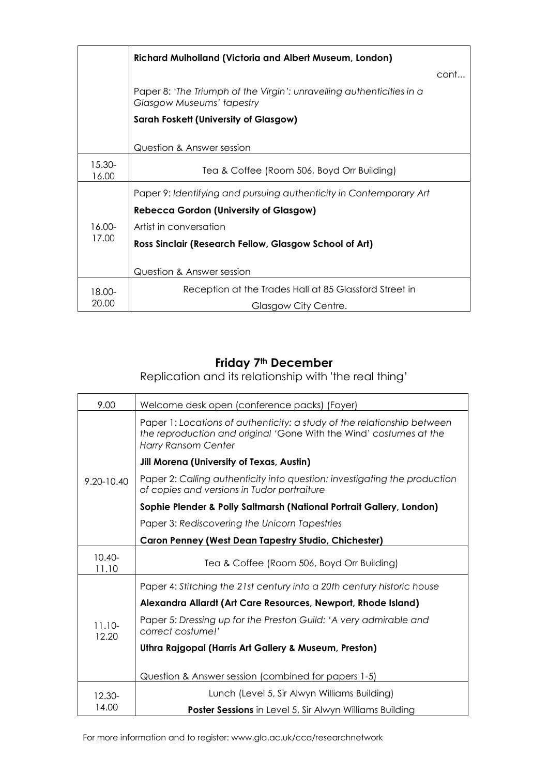|                                       | <b>Richard Mulholland (Victoria and Albert Museum, London)</b>                                     |      |
|---------------------------------------|----------------------------------------------------------------------------------------------------|------|
|                                       |                                                                                                    | cont |
|                                       | Paper 8: 'The Triumph of the Virgin': unravelling authenticities in a<br>Glasgow Museums' tapestry |      |
| Sarah Foskett (University of Glasgow) |                                                                                                    |      |
|                                       | Question & Answer session                                                                          |      |
| 15.30-<br>16.00                       | Tea & Coffee (Room 506, Boyd Orr Building)                                                         |      |
|                                       | Paper 9: Identifying and pursuing authenticity in Contemporary Art                                 |      |
| 16.00-<br>17.00                       | <b>Rebecca Gordon (University of Glasgow)</b>                                                      |      |
|                                       | Artist in conversation                                                                             |      |
|                                       | Ross Sinclair (Research Fellow, Glasgow School of Art)                                             |      |
|                                       | Question & Answer session                                                                          |      |
| 18.00-                                | Reception at the Trades Hall at 85 Glassford Street in                                             |      |
| 20.00                                 | Glasgow City Centre.                                                                               |      |

# **Friday 7th December**

Replication and its relationship with 'the real thing'

| 9.00               | Welcome desk open (conference packs) (Foyer)                                                                                                                         |  |
|--------------------|----------------------------------------------------------------------------------------------------------------------------------------------------------------------|--|
|                    | Paper 1: Locations of authenticity: a study of the relationship between<br>the reproduction and original 'Gone With the Wind' costumes at the<br>Harry Ransom Center |  |
|                    | <b>Jill Morena (University of Texas, Austin)</b>                                                                                                                     |  |
| 9.20-10.40         | Paper 2: Calling authenticity into question: investigating the production<br>of copies and versions in Tudor portraiture                                             |  |
|                    | Sophie Plender & Polly Saltmarsh (National Portrait Gallery, London)                                                                                                 |  |
|                    | Paper 3: Rediscovering the Unicorn Tapestries                                                                                                                        |  |
|                    | <b>Caron Penney (West Dean Tapestry Studio, Chichester)</b>                                                                                                          |  |
| $10.40 -$<br>11.10 | Tea & Coffee (Room 506, Boyd Orr Building)                                                                                                                           |  |
|                    | Paper 4: Stitching the 21st century into a 20th century historic house                                                                                               |  |
|                    | Alexandra Allardt (Art Care Resources, Newport, Rhode Island)                                                                                                        |  |
| $11.10-$<br>12.20  | Paper 5: Dressing up for the Preston Guild: 'A very admirable and<br>correct costume!'                                                                               |  |
|                    | Uthra Rajgopal (Harris Art Gallery & Museum, Preston)                                                                                                                |  |
|                    | Question & Answer session (combined for papers 1-5)                                                                                                                  |  |
| 12.30-             | Lunch (Level 5, Sir Alwyn Williams Building)                                                                                                                         |  |
| 14.00              | <b>Poster Sessions</b> in Level 5, Sir Alwyn Williams Building                                                                                                       |  |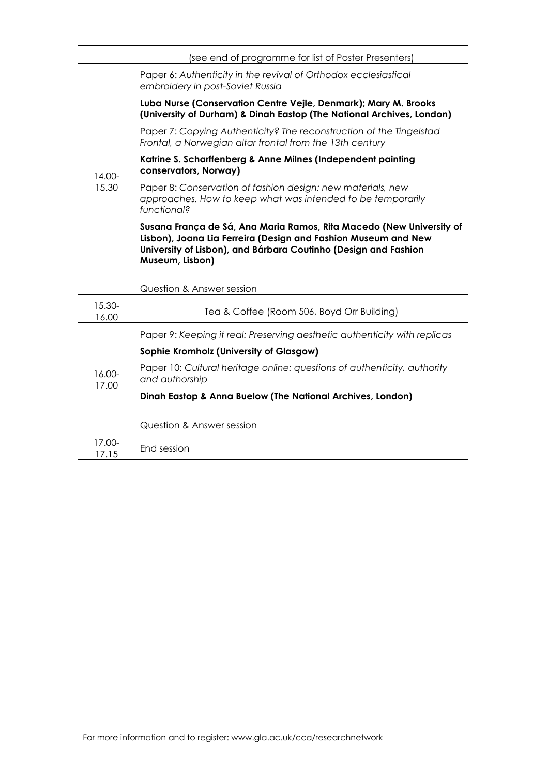|                 | (see end of programme for list of Poster Presenters)                                                                                                                                                                                                      |  |  |
|-----------------|-----------------------------------------------------------------------------------------------------------------------------------------------------------------------------------------------------------------------------------------------------------|--|--|
| 14.00-<br>15.30 | Paper 6: Authenticity in the revival of Orthodox ecclesiastical<br>embroidery in post-Soviet Russia                                                                                                                                                       |  |  |
|                 | Luba Nurse (Conservation Centre Vejle, Denmark); Mary M. Brooks<br>(University of Durham) & Dinah Eastop (The National Archives, London)                                                                                                                  |  |  |
|                 | Paper 7: Copying Authenticity? The reconstruction of the Tingelstad<br>Frontal, a Norwegian altar frontal from the 13th century                                                                                                                           |  |  |
|                 | Katrine S. Scharffenberg & Anne Milnes (Independent painting<br>conservators, Norway)                                                                                                                                                                     |  |  |
|                 | Paper 8: Conservation of fashion design: new materials, new<br>approaches. How to keep what was intended to be temporarily<br>functional?                                                                                                                 |  |  |
|                 | Susana França de Sá, Ana Maria Ramos, Rita Macedo (New University of<br>Lisbon), Joana Lia Ferreira (Design and Fashion Museum and New<br>University of Lisbon), and Bárbara Coutinho (Design and Fashion<br>Museum, Lisbon)<br>Question & Answer session |  |  |
| 15.30-          |                                                                                                                                                                                                                                                           |  |  |
| 16.00           | Tea & Coffee (Room 506, Boyd Orr Building)                                                                                                                                                                                                                |  |  |
| 16.00-<br>17.00 | Paper 9: Keeping it real: Preserving aesthetic authenticity with replicas                                                                                                                                                                                 |  |  |
|                 | Sophie Kromholz (University of Glasgow)                                                                                                                                                                                                                   |  |  |
|                 | Paper 10: Cultural heritage online: questions of authenticity, authority<br>and authorship                                                                                                                                                                |  |  |
|                 | Dinah Eastop & Anna Buelow (The National Archives, London)                                                                                                                                                                                                |  |  |
|                 | Question & Answer session                                                                                                                                                                                                                                 |  |  |
| 17.00-          |                                                                                                                                                                                                                                                           |  |  |